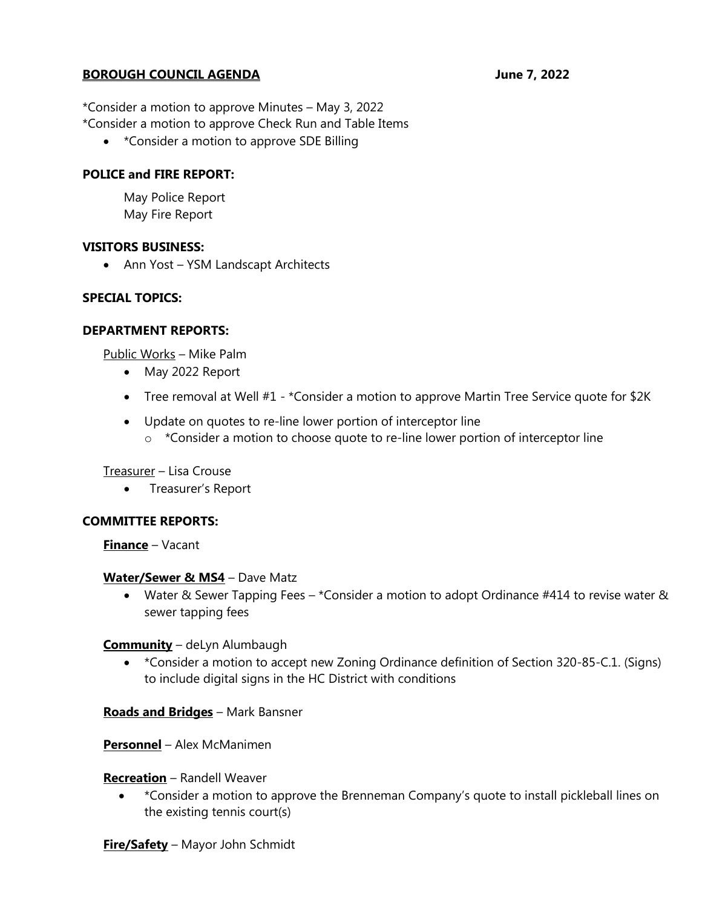### **BOROUGH COUNCIL AGENDA** June 7, 2022

\*Consider a motion to approve Minutes – May 3, 2022 \*Consider a motion to approve Check Run and Table Items

• \*Consider a motion to approve SDE Billing

### **POLICE and FIRE REPORT:**

May Police Report May Fire Report

#### **VISITORS BUSINESS:**

• Ann Yost – YSM Landscapt Architects

### **SPECIAL TOPICS:**

#### **DEPARTMENT REPORTS:**

Public Works – Mike Palm

- May 2022 Report
- Tree removal at Well #1 \*Consider a motion to approve Martin Tree Service quote for \$2K
- Update on quotes to re-line lower portion of interceptor line
	- $\circ$  \*Consider a motion to choose quote to re-line lower portion of interceptor line

#### Treasurer – Lisa Crouse

• Treasurer's Report

#### **COMMITTEE REPORTS:**

**Finance** – Vacant

#### **Water/Sewer & MS4** – Dave Matz

• Water & Sewer Tapping Fees – \*Consider a motion to adopt Ordinance #414 to revise water & sewer tapping fees

#### **Community** – deLyn Alumbaugh

• \*Consider a motion to accept new Zoning Ordinance definition of Section 320-85-C.1. (Signs) to include digital signs in the HC District with conditions

#### **Roads and Bridges** – Mark Bansner

**Personnel** – Alex McManimen

#### **Recreation** – Randell Weaver

• \*Consider a motion to approve the Brenneman Company's quote to install pickleball lines on the existing tennis court(s)

**Fire/Safety** – Mayor John Schmidt